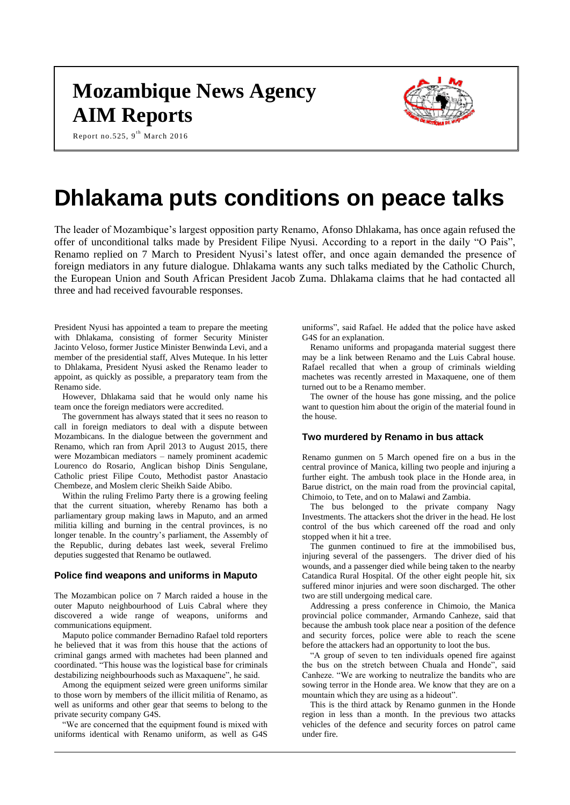# **Mozambique News Agency AIM Reports**



Report no.525,  $9^{\text{th}}$  March 2016

# **Dhlakama puts conditions on peace talks**

The leader of Mozambique's largest opposition party Renamo, Afonso Dhlakama, has once again refused the offer of unconditional talks made by President Filipe Nyusi. According to a report in the daily "O Pais", Renamo replied on 7 March to President Nyusi's latest offer, and once again demanded the presence of foreign mediators in any future dialogue. Dhlakama wants any such talks mediated by the Catholic Church, the European Union and South African President Jacob Zuma. Dhlakama claims that he had contacted all three and had received favourable responses.

President Nyusi has appointed a team to prepare the meeting with Dhlakama, consisting of former Security Minister Jacinto Veloso, former Justice Minister Benwinda Levi, and a member of the presidential staff, Alves Muteque. In his letter to Dhlakama, President Nyusi asked the Renamo leader to appoint, as quickly as possible, a preparatory team from the Renamo side.

However, Dhlakama said that he would only name his team once the foreign mediators were accredited.

The government has always stated that it sees no reason to call in foreign mediators to deal with a dispute between Mozambicans. In the dialogue between the government and Renamo, which ran from April 2013 to August 2015, there were Mozambican mediators – namely prominent academic Lourenco do Rosario, Anglican bishop Dinis Sengulane, Catholic priest Filipe Couto, Methodist pastor Anastacio Chembeze, and Moslem cleric Sheikh Saide Abibo.

Within the ruling Frelimo Party there is a growing feeling that the current situation, whereby Renamo has both a parliamentary group making laws in Maputo, and an armed militia killing and burning in the central provinces, is no longer tenable. In the country's parliament, the Assembly of the Republic, during debates last week, several Frelimo deputies suggested that Renamo be outlawed.

#### **Police find weapons and uniforms in Maputo**

The Mozambican police on 7 March raided a house in the outer Maputo neighbourhood of Luis Cabral where they discovered a wide range of weapons, uniforms and communications equipment.

Maputo police commander Bernadino Rafael told reporters he believed that it was from this house that the actions of criminal gangs armed with machetes had been planned and coordinated. "This house was the logistical base for criminals destabilizing neighbourhoods such as Maxaquene", he said.

Among the equipment seized were green uniforms similar to those worn by members of the illicit militia of Renamo, as well as uniforms and other gear that seems to belong to the private security company G4S.

"We are concerned that the equipment found is mixed with uniforms identical with Renamo uniform, as well as G4S

uniforms", said Rafael. He added that the police have asked G4S for an explanation.

Renamo uniforms and propaganda material suggest there may be a link between Renamo and the Luis Cabral house. Rafael recalled that when a group of criminals wielding machetes was recently arrested in Maxaquene, one of them turned out to be a Renamo member.

The owner of the house has gone missing, and the police want to question him about the origin of the material found in the house.

# **Two murdered by Renamo in bus attack**

Renamo gunmen on 5 March opened fire on a bus in the central province of Manica, killing two people and injuring a further eight. The ambush took place in the Honde area, in Barue district, on the main road from the provincial capital, Chimoio, to Tete, and on to Malawi and Zambia.

The bus belonged to the private company Nagy Investments. The attackers shot the driver in the head. He lost control of the bus which careened off the road and only stopped when it hit a tree.

The gunmen continued to fire at the immobilised bus, injuring several of the passengers. The driver died of his wounds, and a passenger died while being taken to the nearby Catandica Rural Hospital. Of the other eight people hit, six suffered minor injuries and were soon discharged. The other two are still undergoing medical care.

Addressing a press conference in Chimoio, the Manica provincial police commander, Armando Canheze, said that because the ambush took place near a position of the defence and security forces, police were able to reach the scene before the attackers had an opportunity to loot the bus.

"A group of seven to ten individuals opened fire against the bus on the stretch between Chuala and Honde", said Canheze. "We are working to neutralize the bandits who are sowing terror in the Honde area. We know that they are on a mountain which they are using as a hideout".

This is the third attack by Renamo gunmen in the Honde region in less than a month. In the previous two attacks vehicles of the defence and security forces on patrol came under fire.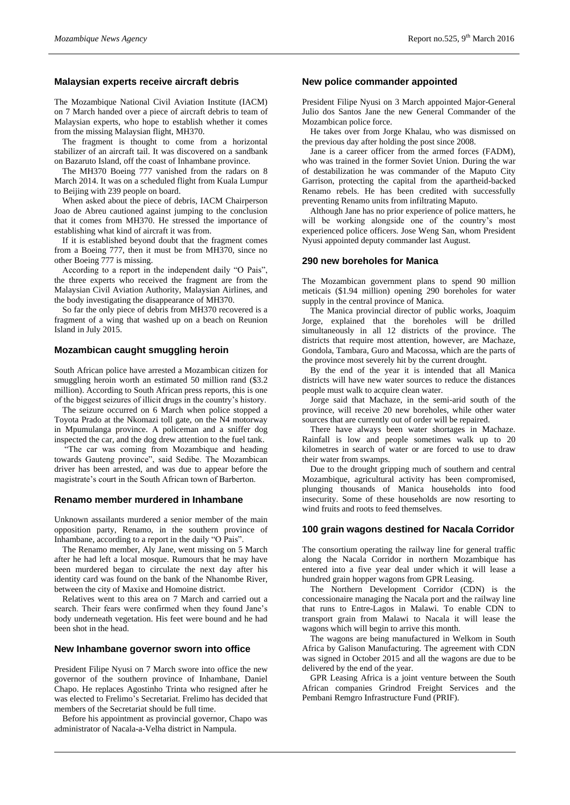#### **Malaysian experts receive aircraft debris**

The Mozambique National Civil Aviation Institute (IACM) on 7 March handed over a piece of aircraft debris to team of Malaysian experts, who hope to establish whether it comes from the missing Malaysian flight, MH370.

The fragment is thought to come from a horizontal stabilizer of an aircraft tail. It was discovered on a sandbank on Bazaruto Island, off the coast of Inhambane province.

The MH370 Boeing 777 vanished from the radars on 8 March 2014. It was on a scheduled flight from Kuala Lumpur to Beijing with 239 people on board.

When asked about the piece of debris, IACM Chairperson Joao de Abreu cautioned against jumping to the conclusion that it comes from MH370. He stressed the importance of establishing what kind of aircraft it was from.

If it is established beyond doubt that the fragment comes from a Boeing 777, then it must be from MH370, since no other Boeing 777 is missing.

According to a report in the independent daily "O Pais", the three experts who received the fragment are from the Malaysian Civil Aviation Authority, Malaysian Airlines, and the body investigating the disappearance of MH370.

So far the only piece of debris from MH370 recovered is a fragment of a wing that washed up on a beach on Reunion Island in July 2015.

### **Mozambican caught smuggling heroin**

South African police have arrested a Mozambican citizen for smuggling heroin worth an estimated 50 million rand (\$3.2 million). According to South African press reports, this is one of the biggest seizures of illicit drugs in the country's history.

The seizure occurred on 6 March when police stopped a Toyota Prado at the Nkomazi toll gate, on the N4 motorway in Mpumulanga province. A policeman and a sniffer dog inspected the car, and the dog drew attention to the fuel tank.

"The car was coming from Mozambique and heading towards Gauteng province", said Sedibe. The Mozambican driver has been arrested, and was due to appear before the magistrate's court in the South African town of Barberton.

#### **Renamo member murdered in Inhambane**

Unknown assailants murdered a senior member of the main opposition party, Renamo, in the southern province of Inhambane, according to a report in the daily "O Pais".

The Renamo member, Aly Jane, went missing on 5 March after he had left a local mosque. Rumours that he may have been murdered began to circulate the next day after his identity card was found on the bank of the Nhanombe River, between the city of Maxixe and Homoine district.

Relatives went to this area on 7 March and carried out a search. Their fears were confirmed when they found Jane's body underneath vegetation. His feet were bound and he had been shot in the head.

#### **New Inhambane governor sworn into office**

President Filipe Nyusi on 7 March swore into office the new governor of the southern province of Inhambane, Daniel Chapo. He replaces Agostinho Trinta who resigned after he was elected to Frelimo's Secretariat. Frelimo has decided that members of the Secretariat should be full time.

Before his appointment as provincial governor, Chapo was administrator of Nacala-a-Velha district in Nampula.

#### **New police commander appointed**

President Filipe Nyusi on 3 March appointed Major-General Julio dos Santos Jane the new General Commander of the Mozambican police force.

He takes over from Jorge Khalau, who was dismissed on the previous day after holding the post since 2008.

Jane is a career officer from the armed forces (FADM), who was trained in the former Soviet Union. During the war of destabilization he was commander of the Maputo City Garrison, protecting the capital from the apartheid-backed Renamo rebels. He has been credited with successfully preventing Renamo units from infiltrating Maputo.

Although Jane has no prior experience of police matters, he will be working alongside one of the country's most experienced police officers. Jose Weng San, whom President Nyusi appointed deputy commander last August.

#### **290 new boreholes for Manica**

The Mozambican government plans to spend 90 million meticais (\$1.94 million) opening 290 boreholes for water supply in the central province of Manica.

The Manica provincial director of public works, Joaquim Jorge, explained that the boreholes will be drilled simultaneously in all 12 districts of the province. The districts that require most attention, however, are Machaze, Gondola, Tambara, Guro and Macossa, which are the parts of the province most severely hit by the current drought.

By the end of the year it is intended that all Manica districts will have new water sources to reduce the distances people must walk to acquire clean water.

Jorge said that Machaze, in the semi-arid south of the province, will receive 20 new boreholes, while other water sources that are currently out of order will be repaired.

There have always been water shortages in Machaze. Rainfall is low and people sometimes walk up to 20 kilometres in search of water or are forced to use to draw their water from swamps.

Due to the drought gripping much of southern and central Mozambique, agricultural activity has been compromised, plunging thousands of Manica households into food insecurity. Some of these households are now resorting to wind fruits and roots to feed themselves.

## **100 grain wagons destined for Nacala Corridor**

The consortium operating the railway line for general traffic along the Nacala Corridor in northern Mozambique has entered into a five year deal under which it will lease a hundred grain hopper wagons from GPR Leasing.

The Northern Development Corridor (CDN) is the concessionaire managing the Nacala port and the railway line that runs to Entre-Lagos in Malawi. To enable CDN to transport grain from Malawi to Nacala it will lease the wagons which will begin to arrive this month.

The wagons are being manufactured in Welkom in South Africa by Galison Manufacturing. The agreement with CDN was signed in October 2015 and all the wagons are due to be delivered by the end of the year.

GPR Leasing Africa is a joint venture between the South African companies Grindrod Freight Services and the Pembani Remgro Infrastructure Fund (PRIF).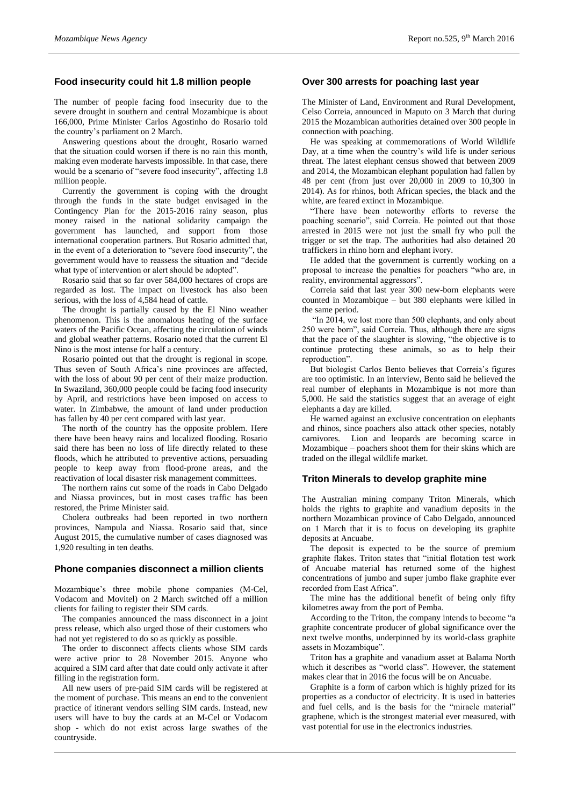# **Food insecurity could hit 1.8 million people**

The number of people facing food insecurity due to the severe drought in southern and central Mozambique is about 166,000, Prime Minister Carlos Agostinho do Rosario told the country's parliament on 2 March.

Answering questions about the drought, Rosario warned that the situation could worsen if there is no rain this month, making even moderate harvests impossible. In that case, there would be a scenario of "severe food insecurity", affecting 1.8 million people.

Currently the government is coping with the drought through the funds in the state budget envisaged in the Contingency Plan for the 2015-2016 rainy season, plus money raised in the national solidarity campaign the government has launched, and support from those international cooperation partners. But Rosario admitted that, in the event of a deterioration to "severe food insecurity", the government would have to reassess the situation and "decide what type of intervention or alert should be adopted".

Rosario said that so far over 584,000 hectares of crops are regarded as lost. The impact on livestock has also been serious, with the loss of 4,584 head of cattle.

The drought is partially caused by the El Nino weather phenomenon. This is the anomalous heating of the surface waters of the Pacific Ocean, affecting the circulation of winds and global weather patterns. Rosario noted that the current El Nino is the most intense for half a century.

Rosario pointed out that the drought is regional in scope. Thus seven of South Africa's nine provinces are affected, with the loss of about 90 per cent of their maize production. In Swaziland, 360,000 people could be facing food insecurity by April, and restrictions have been imposed on access to water. In Zimbabwe, the amount of land under production has fallen by 40 per cent compared with last year.

The north of the country has the opposite problem. Here there have been heavy rains and localized flooding. Rosario said there has been no loss of life directly related to these floods, which he attributed to preventive actions, persuading people to keep away from flood-prone areas, and the reactivation of local disaster risk management committees.

The northern rains cut some of the roads in Cabo Delgado and Niassa provinces, but in most cases traffic has been restored, the Prime Minister said.

Cholera outbreaks had been reported in two northern provinces, Nampula and Niassa. Rosario said that, since August 2015, the cumulative number of cases diagnosed was 1,920 resulting in ten deaths.

#### **Phone companies disconnect a million clients**

Mozambique's three mobile phone companies (M-Cel, Vodacom and Movitel) on 2 March switched off a million clients for failing to register their SIM cards.

The companies announced the mass disconnect in a joint press release, which also urged those of their customers who had not yet registered to do so as quickly as possible.

The order to disconnect affects clients whose SIM cards were active prior to 28 November 2015. Anyone who acquired a SIM card after that date could only activate it after filling in the registration form.

All new users of pre-paid SIM cards will be registered at the moment of purchase. This means an end to the convenient practice of itinerant vendors selling SIM cards. Instead, new users will have to buy the cards at an M-Cel or Vodacom shop - which do not exist across large swathes of the countryside.

#### **Over 300 arrests for poaching last year**

The Minister of Land, Environment and Rural Development, Celso Correia, announced in Maputo on 3 March that during 2015 the Mozambican authorities detained over 300 people in connection with poaching.

He was speaking at commemorations of World Wildlife Day, at a time when the country's wild life is under serious threat. The latest elephant census showed that between 2009 and 2014, the Mozambican elephant population had fallen by 48 per cent (from just over 20,000 in 2009 to 10,300 in 2014). As for rhinos, both African species, the black and the white, are feared extinct in Mozambique.

"There have been noteworthy efforts to reverse the poaching scenario", said Correia. He pointed out that those arrested in 2015 were not just the small fry who pull the trigger or set the trap. The authorities had also detained 20 traffickers in rhino horn and elephant ivory.

He added that the government is currently working on a proposal to increase the penalties for poachers "who are, in reality, environmental aggressors".

Correia said that last year 300 new-born elephants were counted in Mozambique – but 380 elephants were killed in the same period.

"In 2014, we lost more than 500 elephants, and only about 250 were born", said Correia. Thus, although there are signs that the pace of the slaughter is slowing, "the objective is to continue protecting these animals, so as to help their reproduction".

But biologist Carlos Bento believes that Correia's figures are too optimistic. In an interview, Bento said he believed the real number of elephants in Mozambique is not more than 5,000. He said the statistics suggest that an average of eight elephants a day are killed.

He warned against an exclusive concentration on elephants and rhinos, since poachers also attack other species, notably carnivores. Lion and leopards are becoming scarce in Mozambique – poachers shoot them for their skins which are traded on the illegal wildlife market.

# **Triton Minerals to develop graphite mine**

The Australian mining company Triton Minerals, which holds the rights to graphite and vanadium deposits in the northern Mozambican province of Cabo Delgado, announced on 1 March that it is to focus on developing its graphite deposits at Ancuabe.

The deposit is expected to be the source of premium graphite flakes. Triton states that "initial flotation test work of Ancuabe material has returned some of the highest concentrations of jumbo and super jumbo flake graphite ever recorded from East Africa".

The mine has the additional benefit of being only fifty kilometres away from the port of Pemba.

According to the Triton, the company intends to become "a graphite concentrate producer of global significance over the next twelve months, underpinned by its world-class graphite assets in Mozambique".

Triton has a graphite and vanadium asset at Balama North which it describes as "world class". However, the statement makes clear that in 2016 the focus will be on Ancuabe.

Graphite is a form of carbon which is highly prized for its properties as a conductor of electricity. It is used in batteries and fuel cells, and is the basis for the "miracle material" graphene, which is the strongest material ever measured, with vast potential for use in the electronics industries.